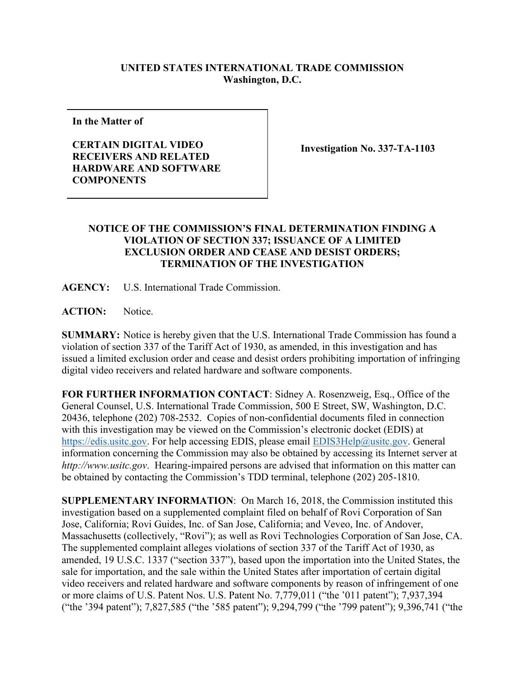## **UNITED STATES INTERNATIONAL TRADE COMMISSION Washington, D.C.**

**In the Matter of**

## **CERTAIN DIGITAL VIDEO RECEIVERS AND RELATED HARDWARE AND SOFTWARE COMPONENTS**

**Investigation No. 337-TA-1103**

## **NOTICE OF THE COMMISSION'S FINAL DETERMINATION FINDING A VIOLATION OF SECTION 337; ISSUANCE OF A LIMITED EXCLUSION ORDER AND CEASE AND DESIST ORDERS; TERMINATION OF THE INVESTIGATION**

**AGENCY:** U.S. International Trade Commission.

**ACTION:** Notice.

**SUMMARY:** Notice is hereby given that the U.S. International Trade Commission has found a violation of section 337 of the Tariff Act of 1930, as amended, in this investigation and has issued a limited exclusion order and cease and desist orders prohibiting importation of infringing digital video receivers and related hardware and software components.

**FOR FURTHER INFORMATION CONTACT**: Sidney A. Rosenzweig, Esq., Office of the General Counsel, U.S. International Trade Commission, 500 E Street, SW, Washington, D.C. 20436, telephone (202) 708-2532. Copies of non-confidential documents filed in connection with this investigation may be viewed on the Commission's electronic docket (EDIS) at [https://edis.usitc.gov.](https://edis.usitc.gov/) For help accessing EDIS, please email [EDIS3Help@usitc.gov.](mailto:EDIS3Help@usitc.gov) General information concerning the Commission may also be obtained by accessing its Internet server at *http://www.usitc.gov*. Hearing-impaired persons are advised that information on this matter can be obtained by contacting the Commission's TDD terminal, telephone (202) 205-1810.

**SUPPLEMENTARY INFORMATION**: On March 16, 2018, the Commission instituted this investigation based on a supplemented complaint filed on behalf of Rovi Corporation of San Jose, California; Rovi Guides, Inc. of San Jose, California; and Veveo, Inc. of Andover, Massachusetts (collectively, "Rovi"); as well as Rovi Technologies Corporation of San Jose, CA. The supplemented complaint alleges violations of section 337 of the Tariff Act of 1930, as amended, 19 U.S.C. 1337 ("section 337"), based upon the importation into the United States, the sale for importation, and the sale within the United States after importation of certain digital video receivers and related hardware and software components by reason of infringement of one or more claims of U.S. Patent Nos. U.S. Patent No. 7,779,011 ("the '011 patent"); 7,937,394 ("the '394 patent"); 7,827,585 ("the '585 patent"); 9,294,799 ("the '799 patent"); 9,396,741 ("the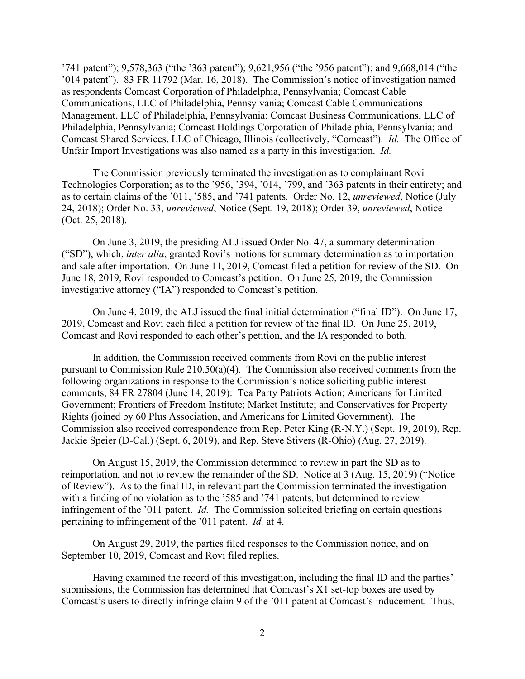'741 patent"); 9,578,363 ("the '363 patent"); 9,621,956 ("the '956 patent"); and 9,668,014 ("the '014 patent"). 83 FR 11792 (Mar. 16, 2018). The Commission's notice of investigation named as respondents Comcast Corporation of Philadelphia, Pennsylvania; Comcast Cable Communications, LLC of Philadelphia, Pennsylvania; Comcast Cable Communications Management, LLC of Philadelphia, Pennsylvania; Comcast Business Communications, LLC of Philadelphia, Pennsylvania; Comcast Holdings Corporation of Philadelphia, Pennsylvania; and Comcast Shared Services, LLC of Chicago, Illinois (collectively, "Comcast"). *Id.* The Office of Unfair Import Investigations was also named as a party in this investigation. *Id.*

The Commission previously terminated the investigation as to complainant Rovi Technologies Corporation; as to the '956, '394, '014, '799, and '363 patents in their entirety; and as to certain claims of the '011, '585, and '741 patents. Order No. 12, *unreviewed*, Notice (July 24, 2018); Order No. 33, *unreviewed*, Notice (Sept. 19, 2018); Order 39, *unreviewed*, Notice (Oct. 25, 2018).

On June 3, 2019, the presiding ALJ issued Order No. 47, a summary determination ("SD"), which, *inter alia*, granted Rovi's motions for summary determination as to importation and sale after importation. On June 11, 2019, Comcast filed a petition for review of the SD. On June 18, 2019, Rovi responded to Comcast's petition. On June 25, 2019, the Commission investigative attorney ("IA") responded to Comcast's petition.

On June 4, 2019, the ALJ issued the final initial determination ("final ID"). On June 17, 2019, Comcast and Rovi each filed a petition for review of the final ID. On June 25, 2019, Comcast and Rovi responded to each other's petition, and the IA responded to both.

In addition, the Commission received comments from Rovi on the public interest pursuant to Commission Rule 210.50(a)(4). The Commission also received comments from the following organizations in response to the Commission's notice soliciting public interest comments, 84 FR 27804 (June 14, 2019): Tea Party Patriots Action; Americans for Limited Government; Frontiers of Freedom Institute; Market Institute; and Conservatives for Property Rights (joined by 60 Plus Association, and Americans for Limited Government). The Commission also received correspondence from Rep. Peter King (R-N.Y.) (Sept. 19, 2019), Rep. Jackie Speier (D-Cal.) (Sept. 6, 2019), and Rep. Steve Stivers (R-Ohio) (Aug. 27, 2019).

On August 15, 2019, the Commission determined to review in part the SD as to reimportation, and not to review the remainder of the SD. Notice at 3 (Aug. 15, 2019) ("Notice of Review"). As to the final ID, in relevant part the Commission terminated the investigation with a finding of no violation as to the '585 and '741 patents, but determined to review infringement of the '011 patent. *Id.* The Commission solicited briefing on certain questions pertaining to infringement of the '011 patent. *Id.* at 4.

On August 29, 2019, the parties filed responses to the Commission notice, and on September 10, 2019, Comcast and Rovi filed replies.

Having examined the record of this investigation, including the final ID and the parties' submissions, the Commission has determined that Comcast's X1 set-top boxes are used by Comcast's users to directly infringe claim 9 of the '011 patent at Comcast's inducement. Thus,